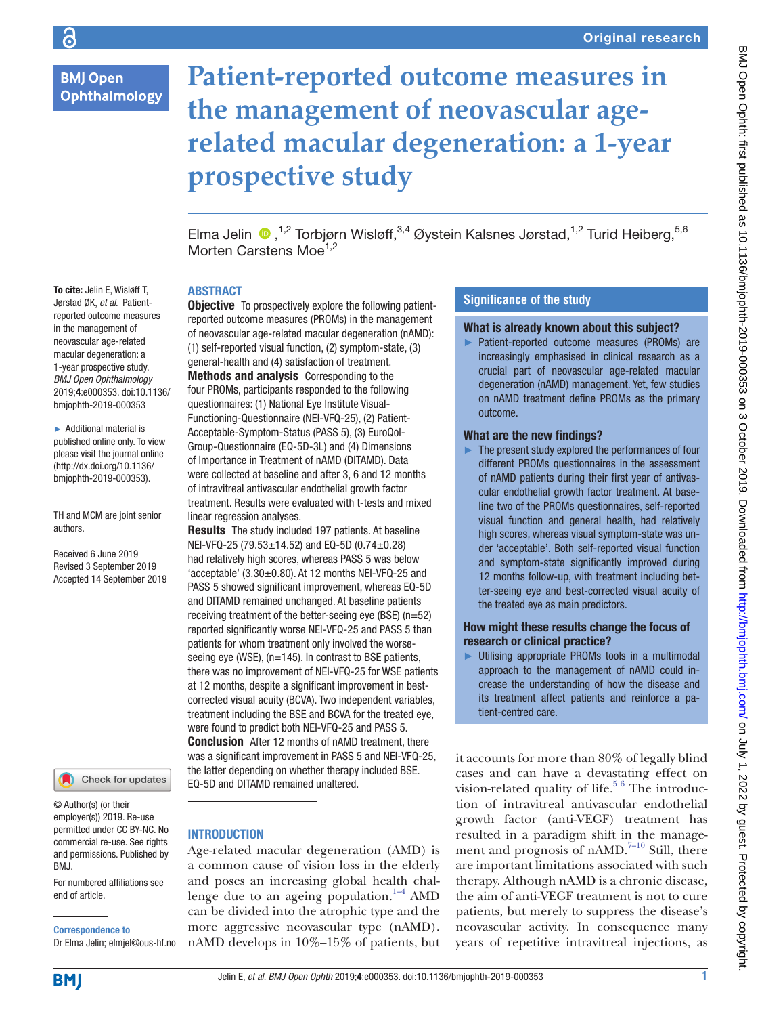# **BMJ Open Ophthalmology**

# **Patient-reported outcome measures in the management of neovascular agerelated macular degeneration: a 1-year prospective study**

ElmaJelin  $\bullet$  ,<sup>1,2</sup> Torbjørn Wisløff,<sup>3,4</sup> Øystein Kalsnes Jørstad,<sup>1,2</sup> Turid Heiberg,<sup>5,6</sup> Morten Carstens Moe<sup>1,2</sup>

# **ABSTRACT**

To cite: Jelin E, Wisløff T, Jørstad ØK, *et al*. Patientreported outcome measures in the management of neovascular age-related macular degeneration: a 1-year prospective study. *BMJ Open Ophthalmology* 2019;4:e000353. doi:10.1136/ bmjophth-2019-000353

► Additional material is published online only. To view please visit the journal online (http://dx.doi.org/10.1136/ bmjophth-2019-000353).

TH and MCM are joint senior authors.

Received 6 June 2019 Revised 3 September 2019 Accepted 14 September 2019

Check for updates

© Author(s) (or their employer(s)) 2019. Re-use permitted under CC BY-NC. No commercial re-use. See rights and permissions. Published by BMJ.

For numbered affiliations see end of article.

Correspondence to Dr Elma Jelin; elmjel@ous-hf.no

**Objective** To prospectively explore the following patientreported outcome measures (PROMs) in the management of neovascular age-related macular degeneration (nAMD): (1) self-reported visual function, (2) symptom-state, (3) general-health and (4) satisfaction of treatment. Methods and analysis Corresponding to the four PROMs, participants responded to the following questionnaires: (1) National Eye Institute Visual-Functioning-Questionnaire (NEI-VFQ-25), (2) Patient-Acceptable-Symptom-Status (PASS 5), (3) EuroQol-Group-Questionnaire (EQ-5D-3L) and (4) Dimensions of Importance in Treatment of nAMD (DITAMD). Data were collected at baseline and after 3, 6 and 12 months of intravitreal antivascular endothelial growth factor treatment. Results were evaluated with t-tests and mixed linear regression analyses.

Results The study included 197 patients. At baseline NEI-VFQ-25 (79.53±14.52) and EQ-5D (0.74±0.28) had relatively high scores, whereas PASS 5 was below 'acceptable'  $(3.30\pm0.80)$ . At 12 months NEI-VFQ-25 and PASS 5 showed significant improvement, whereas EQ-5D and DITAMD remained unchanged. At baseline patients receiving treatment of the better-seeing eye (BSE) (n=52) reported significantly worse NEI-VFQ-25 and PASS 5 than patients for whom treatment only involved the worseseeing eye (WSE), (n=145). In contrast to BSE patients, there was no improvement of NEI-VFQ-25 for WSE patients at 12 months, despite a significant improvement in bestcorrected visual acuity (BCVA). Two independent variables, treatment including the BSE and BCVA for the treated eye, were found to predict both NEI-VFQ-25 and PASS 5. Conclusion After 12 months of nAMD treatment, there was a significant improvement in PASS 5 and NEI-VFQ-25, the latter depending on whether therapy included BSE. EQ-5D and DITAMD remained unaltered.

## **INTRODUCTION**

Age-related macular degeneration (AMD) is a common cause of vision loss in the elderly and poses an increasing global health chal-lenge due to an ageing population.<sup>[1–4](#page-6-0)</sup> AMD can be divided into the atrophic type and the more aggressive neovascular type (nAMD). nAMD develops in 10%–15% of patients, but

# **Significance of the study**

#### What is already known about this subject?

► Patient-reported outcome measures (PROMs) are increasingly emphasised in clinical research as a crucial part of neovascular age-related macular degeneration (nAMD) management. Yet, few studies on nAMD treatment define PROMs as the primary outcome.

## What are the new findings?

► The present study explored the performances of four different PROMs questionnaires in the assessment of nAMD patients during their first year of antivascular endothelial growth factor treatment. At baseline two of the PROMs questionnaires, self-reported visual function and general health, had relatively high scores, whereas visual symptom-state was under 'acceptable'. Both self-reported visual function and symptom-state significantly improved during 12 months follow-up, with treatment including better-seeing eye and best-corrected visual acuity of the treated eye as main predictors.

### How might these results change the focus of research or clinical practice?

► Utilising appropriate PROMs tools in a multimodal approach to the management of nAMD could increase the understanding of how the disease and its treatment affect patients and reinforce a patient-centred care.

it accounts for more than 80% of legally blind cases and can have a devastating effect on vision-related quality of life.<sup>[5 6](#page-6-1)</sup> The introduction of intravitreal antivascular endothelial growth factor (anti-VEGF) treatment has resulted in a paradigm shift in the management and prognosis of nAMD.<sup>7-10</sup> Still, there are important limitations associated with such therapy. Although nAMD is a chronic disease, the aim of anti-VEGF treatment is not to cure patients, but merely to suppress the disease's neovascular activity. In consequence many years of repetitive intravitreal injections, as

**BMJ**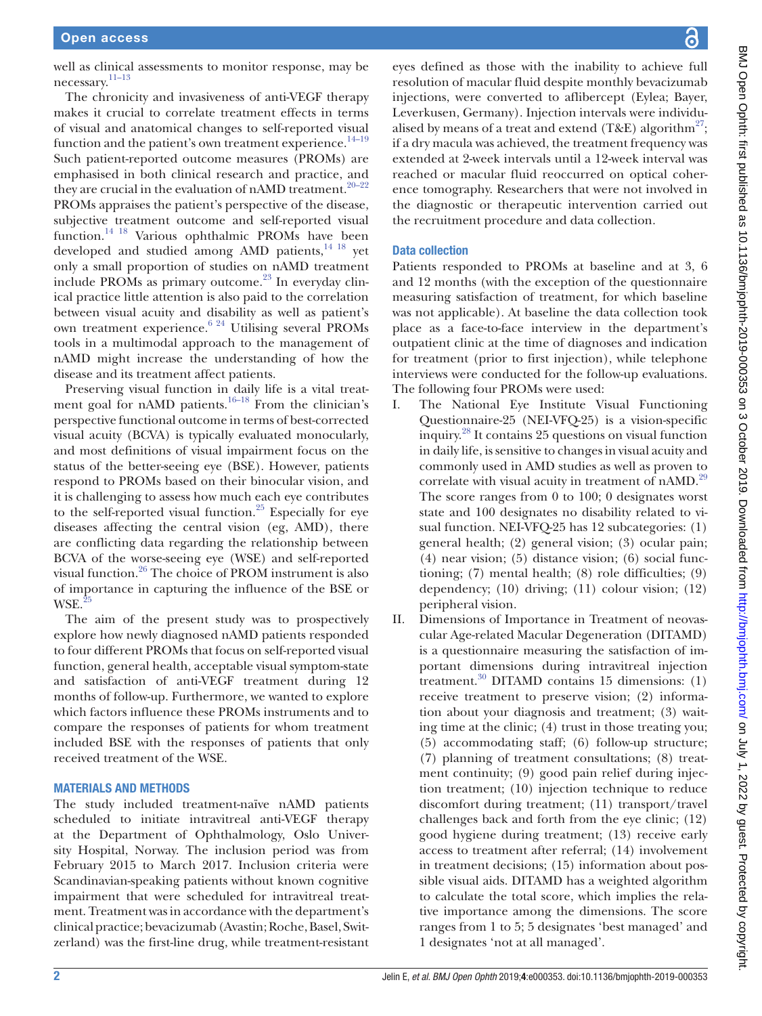well as clinical assessments to monitor response, may be necessary. [11–13](#page-6-3)

The chronicity and invasiveness of anti-VEGF therapy makes it crucial to correlate treatment effects in terms of visual and anatomical changes to self-reported visual function and the patient's own treatment experience.<sup>14-19</sup> Such patient-reported outcome measures (PROMs) are emphasised in both clinical research and practice, and they are crucial in the evaluation of nAMD treatment.<sup>20-22</sup> PROMs appraises the patient's perspective of the disease, subjective treatment outcome and self-reported visual function.[14 18](#page-6-4) Various ophthalmic PROMs have been developed and studied among AMD patients,<sup>[14 18](#page-6-4)</sup> yet only a small proportion of studies on nAMD treatment include PROMs as primary outcome. $^{23}$  In everyday clinical practice little attention is also paid to the correlation between visual acuity and disability as well as patient's own treatment experience.[6 24](#page-6-5) Utilising several PROMs tools in a multimodal approach to the management of nAMD might increase the understanding of how the disease and its treatment affect patients.

Preserving visual function in daily life is a vital treat-ment goal for nAMD patients.<sup>[16–18](#page-6-6)</sup> From the clinician's perspective functional outcome in terms of best-corrected visual acuity (BCVA) is typically evaluated monocularly, and most definitions of visual impairment focus on the status of the better-seeing eye (BSE). However, patients respond to PROMs based on their binocular vision, and it is challenging to assess how much each eye contributes to the self-reported visual function.<sup>25</sup> Especially for eye diseases affecting the central vision (eg, AMD), there are conflicting data regarding the relationship between BCVA of the worse-seeing eye (WSE) and self-reported visual function[.26](#page-7-3) The choice of PROM instrument is also of importance in capturing the influence of the BSE or WSE.<sup>2</sup>

The aim of the present study was to prospectively explore how newly diagnosed nAMD patients responded to four different PROMs that focus on self-reported visual function, general health, acceptable visual symptom-state and satisfaction of anti-VEGF treatment during 12 months of follow-up. Furthermore, we wanted to explore which factors influence these PROMs instruments and to compare the responses of patients for whom treatment included BSE with the responses of patients that only received treatment of the WSE.

#### Materials and methods

The study included treatment-naïve nAMD patients scheduled to initiate intravitreal anti-VEGF therapy at the Department of Ophthalmology, Oslo University Hospital, Norway. The inclusion period was from February 2015 to March 2017. Inclusion criteria were Scandinavian-speaking patients without known cognitive impairment that were scheduled for intravitreal treatment. Treatment was in accordance with the department's clinical practice; bevacizumab (Avastin; Roche, Basel, Switzerland) was the first-line drug, while treatment-resistant

eyes defined as those with the inability to achieve full resolution of macular fluid despite monthly bevacizumab injections, were converted to aflibercept (Eylea; Bayer, Leverkusen, Germany). Injection intervals were individualised by means of a treat and extend (T&E) algorithm<sup>27</sup>; if a dry macula was achieved, the treatment frequency was extended at 2-week intervals until a 12-week interval was reached or macular fluid reoccurred on optical coherence tomography. Researchers that were not involved in the diagnostic or therapeutic intervention carried out the recruitment procedure and data collection.

#### Data collection

Patients responded to PROMs at baseline and at 3, 6 and 12 months (with the exception of the questionnaire measuring satisfaction of treatment, for which baseline was not applicable). At baseline the data collection took place as a face-to-face interview in the department's outpatient clinic at the time of diagnoses and indication for treatment (prior to first injection), while telephone interviews were conducted for the follow-up evaluations. The following four PROMs were used:

- I. The National Eye Institute Visual Functioning Questionnaire-25 (NEI-VFQ-25) is a vision-specific inquiry.[28](#page-7-5) It contains 25 questions on visual function in daily life, is sensitive to changes in visual acuity and commonly used in AMD studies as well as proven to correlate with visual acuity in treatment of nAMD.<sup>[29](#page-7-6)</sup> The score ranges from 0 to 100; 0 designates worst state and 100 designates no disability related to visual function. NEI-VFQ-25 has 12 subcategories: (1) general health; (2) general vision; (3) ocular pain; (4) near vision; (5) distance vision; (6) social functioning; (7) mental health; (8) role difficulties; (9) dependency; (10) driving; (11) colour vision; (12) peripheral vision.
- II. Dimensions of Importance in Treatment of neovascular Age-related Macular Degeneration (DITAMD) is a questionnaire measuring the satisfaction of important dimensions during intravitreal injection treatment.[30](#page-7-7) DITAMD contains 15 dimensions: (1) receive treatment to preserve vision; (2) information about your diagnosis and treatment; (3) waiting time at the clinic; (4) trust in those treating you; (5) accommodating staff; (6) follow-up structure; (7) planning of treatment consultations; (8) treatment continuity; (9) good pain relief during injection treatment; (10) injection technique to reduce discomfort during treatment; (11) transport/travel challenges back and forth from the eye clinic; (12) good hygiene during treatment; (13) receive early access to treatment after referral; (14) involvement in treatment decisions; (15) information about possible visual aids. DITAMD has a weighted algorithm to calculate the total score, which implies the relative importance among the dimensions. The score ranges from 1 to 5; 5 designates 'best managed' and 1 designates 'not at all managed'.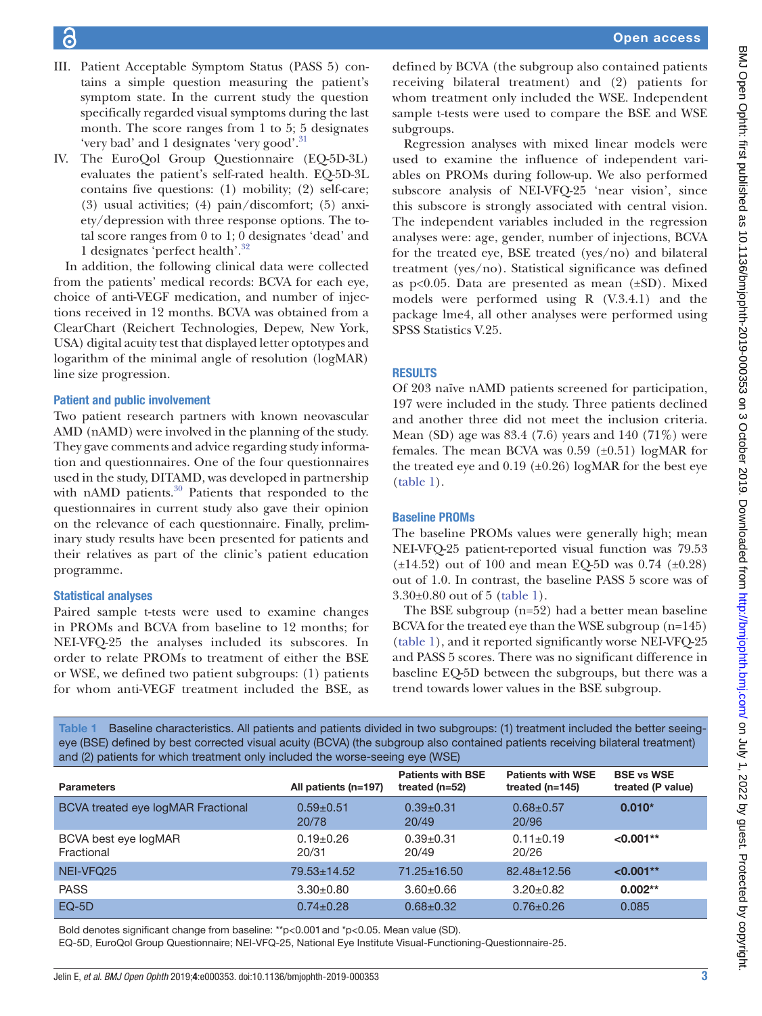- III. Patient Acceptable Symptom Status (PASS 5) contains a simple question measuring the patient's symptom state. In the current study the question specifically regarded visual symptoms during the last month. The score ranges from 1 to 5; 5 designates 'very bad' and 1 designates 'very good'.<sup>[31](#page-7-8)</sup>
- IV. The EuroQol Group Questionnaire (EQ-5D-3L) evaluates the patient's self-rated health. EQ-5D-3L contains five questions: (1) mobility; (2) self-care; (3) usual activities; (4) pain/discomfort; (5) anxiety/depression with three response options. The total score ranges from 0 to 1; 0 designates 'dead' and 1 designates 'perfect health'.[32](#page-7-9)

In addition, the following clinical data were collected from the patients' medical records: BCVA for each eye, choice of anti-VEGF medication, and number of injections received in 12 months. BCVA was obtained from a ClearChart (Reichert Technologies, Depew, New York, USA) digital acuity test that displayed letter optotypes and logarithm of the minimal angle of resolution (logMAR) line size progression.

# Patient and public involvement

Two patient research partners with known neovascular AMD (nAMD) were involved in the planning of the study. They gave comments and advice regarding study information and questionnaires. One of the four questionnaires used in the study, DITAMD, was developed in partnership with nAMD patients.<sup>30</sup> Patients that responded to the questionnaires in current study also gave their opinion on the relevance of each questionnaire. Finally, preliminary study results have been presented for patients and their relatives as part of the clinic's patient education programme.

# Statistical analyses

Paired sample t-tests were used to examine changes in PROMs and BCVA from baseline to 12 months; for NEI-VFQ-25 the analyses included its subscores. In order to relate PROMs to treatment of either the BSE or WSE, we defined two patient subgroups: (1) patients for whom anti-VEGF treatment included the BSE, as Open access

defined by BCVA (the subgroup also contained patients receiving bilateral treatment) and (2) patients for whom treatment only included the WSE. Independent sample t-tests were used to compare the BSE and WSE subgroups.

Regression analyses with mixed linear models were used to examine the influence of independent variables on PROMs during follow-up. We also performed subscore analysis of NEI-VFQ-25 'near vision', since this subscore is strongly associated with central vision. The independent variables included in the regression analyses were: age, gender, number of injections, BCVA for the treated eye, BSE treated (yes/no) and bilateral treatment (yes/no). Statistical significance was defined as  $p<0.05$ . Data are presented as mean  $(\pm SD)$ . Mixed models were performed using R (V.3.4.1) and the package lme4, all other analyses were performed using SPSS Statistics V.25.

## **RESULTS**

Of 203 naïve nAMD patients screened for participation, 197 were included in the study. Three patients declined and another three did not meet the inclusion criteria. Mean (SD) age was 83.4 (7.6) years and 140 (71%) were females. The mean BCVA was  $0.59$  ( $\pm 0.51$ ) logMAR for the treated eye and  $0.19$  ( $\pm 0.26$ ) logMAR for the best eye [\(table](#page-2-0) 1).

## Baseline PROMs

The baseline PROMs values were generally high; mean NEI-VFQ-25 patient-reported visual function was 79.53  $(\pm 14.52)$  out of 100 and mean EQ-5D was 0.74 ( $\pm 0.28$ ) out of 1.0. In contrast, the baseline PASS 5 score was of 3.30±0.80 out of 5 ([table](#page-2-0) 1).

The BSE subgroup (n=52) had a better mean baseline BCVA for the treated eye than the WSE subgroup (n=145) [\(table](#page-2-0) 1), and it reported significantly worse NEI-VFQ-25 and PASS 5 scores. There was no significant difference in baseline EQ-5D between the subgroups, but there was a trend towards lower values in the BSE subgroup.

<span id="page-2-0"></span>Table 1 Baseline characteristics. All patients and patients divided in two subgroups: (1) treatment included the better seeingeye (BSE) defined by best corrected visual acuity (BCVA) (the subgroup also contained patients receiving bilateral treatment) and (2) patients for which treatment only included the worse-seeing eye (WSE)

| $\cdots$                           |                        |                                              |                                               |                                        |
|------------------------------------|------------------------|----------------------------------------------|-----------------------------------------------|----------------------------------------|
| <b>Parameters</b>                  | All patients (n=197)   | <b>Patients with BSE</b><br>treated $(n=52)$ | <b>Patients with WSE</b><br>treated $(n=145)$ | <b>BSE vs WSE</b><br>treated (P value) |
| BCVA treated eye logMAR Fractional | $0.59 + 0.51$<br>20/78 | $0.39 \pm 0.31$<br>20/49                     | $0.68 + 0.57$<br>20/96                        | $0.010*$                               |
| BCVA best eye logMAR<br>Fractional | $0.19+0.26$<br>20/31   | $0.39 + 0.31$<br>20/49                       | $0.11 \pm 0.19$<br>20/26                      | $< 0.001**$                            |
| NEI-VFQ25                          | 79.53±14.52            | $71.25 \pm 16.50$                            | $82.48 \pm 12.56$                             | $< 0.001**$                            |
| <b>PASS</b>                        | $3.30+0.80$            | $3.60 + 0.66$                                | $3.20 \pm 0.82$                               | $0.002**$                              |
| $EQ-5D$                            | $0.74 \pm 0.28$        | $0.68 \pm 0.32$                              | $0.76 \pm 0.26$                               | 0.085                                  |

Bold denotes significant change from baseline: \*\*p<0.001and \*p<0.05. Mean value (SD).

EQ-5D, EuroQol Group Questionnaire; NEI-VFQ-25, National Eye Institute Visual-Functioning-Questionnaire-25.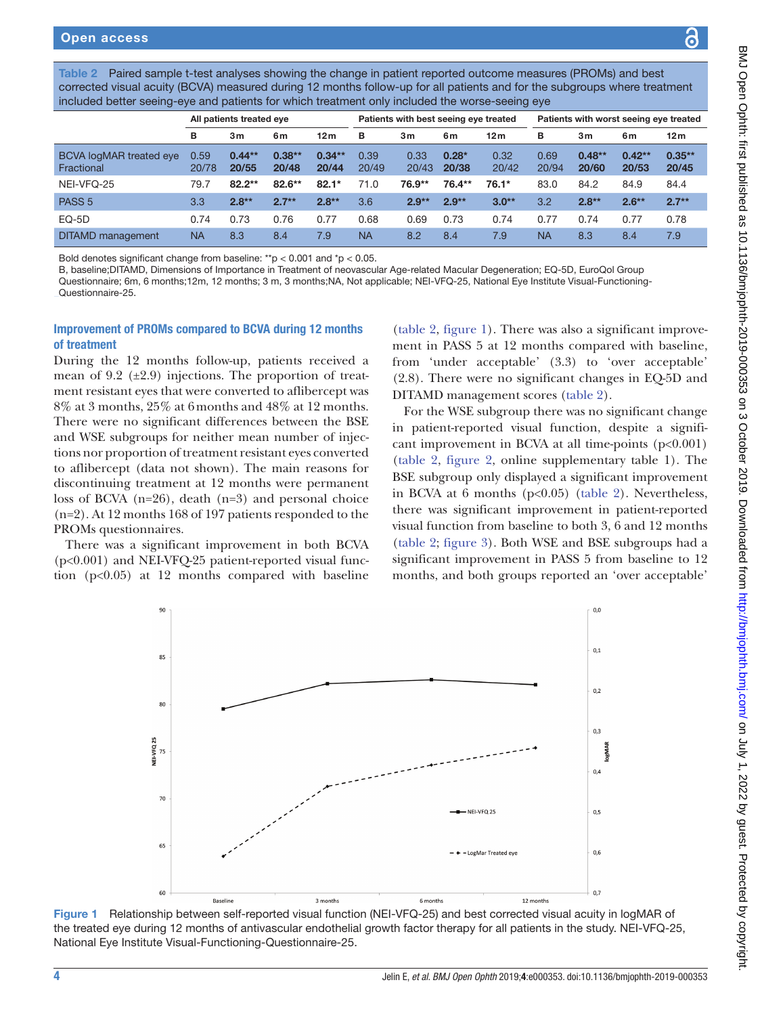<span id="page-3-0"></span>Paired sample t-test analyses showing the change in patient reported outcome measures (PROMs) and best corrected visual acuity (BCVA) measured during 12 months follow-up for all patients and for the subgroups where treatment included better seeing-eye and patients for which treatment only included the worse-seeing eye

|                                       | All patients treated eye |                   |                   | Patients with best seeing eye treated |               |               | Patients with worst seeing eye treated |                 |                  |                   |                   |                   |
|---------------------------------------|--------------------------|-------------------|-------------------|---------------------------------------|---------------|---------------|----------------------------------------|-----------------|------------------|-------------------|-------------------|-------------------|
|                                       | в                        | 3m                | 6m                | 12 <sub>m</sub>                       | в             | 3m            | 6m                                     | 12 <sub>m</sub> | в                | 3m                | 6m                | 12 <sub>m</sub>   |
| BCVA logMAR treated eye<br>Fractional | 0.59<br>20/78            | $0.44**$<br>20/55 | $0.38**$<br>20/48 | $0.34**$<br>20/44                     | 0.39<br>20/49 | 0.33<br>20/43 | $0.28*$<br>20/38                       | 0.32<br>20/42   | 0.69<br>20/94    | $0.48**$<br>20/60 | $0.42**$<br>20/53 | $0.35**$<br>20/45 |
| NEI-VFQ-25                            | 79.7                     | $82.2**$          | $82.6**$          | $82.1*$                               | 71.0          | 76.9**        | 76.4**                                 | 76.1*           | 83.0             | 84.2              | 84.9              | 84.4              |
| PASS <sub>5</sub>                     | 3.3                      | $2.8**$           | $2.7**$           | $2.8**$                               | 3.6           | $2.9**$       | $2.9**$                                | $3.0**$         | 3.2 <sub>2</sub> | $2.8**$           | $2.6**$           | $2.7**$           |
| $EQ-5D$                               | 0.74                     | 0.73              | 0.76              | 0.77                                  | 0.68          | 0.69          | 0.73                                   | 0.74            | 0.77             | 0.74              | 0.77              | 0.78              |
| <b>DITAMD</b> management              | <b>NA</b>                | 8.3               | 8.4               | 7.9                                   | <b>NA</b>     | 8.2           | 8.4                                    | 7.9             | <b>NA</b>        | 8.3               | 8.4               | 7.9               |

Bold denotes significant change from baseline: \*\*p < 0.001 and \*p < 0.05.

B, baseline;DITAMD, Dimensions of Importance in Treatment of neovascular Age-related Macular Degeneration; EQ-5D, EuroQol Group Questionnaire; 6m, 6 months;12m, 12 months; 3 m, 3 months;NA, Not applicable; NEI-VFQ-25, National Eye Institute Visual-Functioning-Questionnaire-25.

## Improvement of PROMs compared to BCVA during 12 months of treatment

During the 12 months follow-up, patients received a mean of 9.2  $(\pm 2.9)$  injections. The proportion of treatment resistant eyes that were converted to aflibercept was 8% at 3 months, 25% at 6months and 48% at 12 months. There were no significant differences between the BSE and WSE subgroups for neither mean number of injections nor proportion of treatment resistant eyes converted to aflibercept (data not shown). The main reasons for discontinuing treatment at 12 months were permanent loss of BCVA (n=26), death (n=3) and personal choice (n=2). At 12 months 168 of 197 patients responded to the PROMs questionnaires.

There was a significant improvement in both BCVA (p<0.001) and NEI-VFQ-25 patient-reported visual function  $(p<0.05)$  at 12 months compared with baseline

[\(table](#page-3-0) 2, [figure](#page-3-1) 1). There was also a significant improvement in PASS 5 at 12 months compared with baseline, from 'under acceptable' (3.3) to 'over acceptable' (2.8). There were no significant changes in EQ-5D and DITAMD management scores ([table](#page-3-0) 2).

For the WSE subgroup there was no significant change in patient-reported visual function, despite a significant improvement in BCVA at all time-points  $(p<0.001)$ [\(table](#page-3-0) 2, [figure](#page-4-0) 2, [online supplementary table 1](https://dx.doi.org/10.1136/bmjophth-2019-000353)). The BSE subgroup only displayed a significant improvement in BCVA at 6 months  $(p<0.05)$  [\(table](#page-3-0) 2). Nevertheless, there was significant improvement in patient-reported visual function from baseline to both 3, 6 and 12 months [\(table](#page-3-0) 2; [figure](#page-4-1) 3). Both WSE and BSE subgroups had a significant improvement in PASS 5 from baseline to 12 months, and both groups reported an 'over acceptable'



<span id="page-3-1"></span>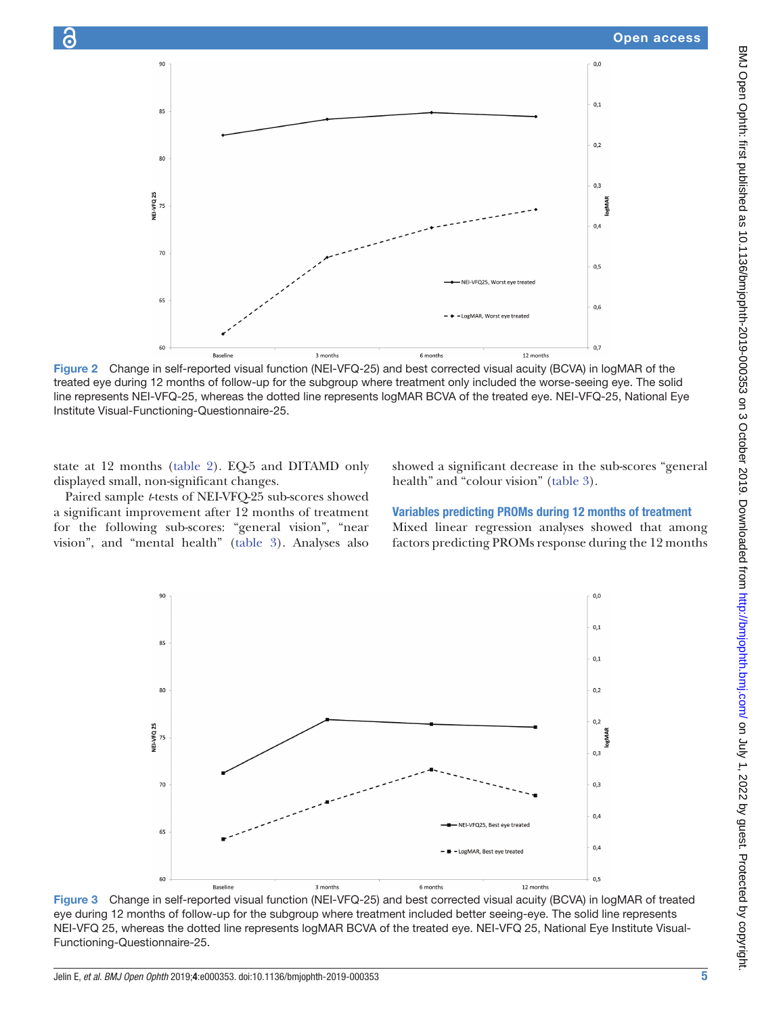

Figure 2 Change in self-reported visual function (NEI-VFQ-25) and best corrected visual acuity (BCVA) in logMAR of the treated eye during 12 months of follow-up for the subgroup where treatment only included the worse-seeing eye. The solid line represents NEI-VFQ-25, whereas the dotted line represents logMAR BCVA of the treated eye. NEI-VFQ-25, National Eye Institute Visual-Functioning-Questionnaire-25.

state at 12 months ([table](#page-3-0) 2). EQ-5 and DITAMD only displayed small, non-significant changes.

Paired sample *t*-tests of NEI-VFQ-25 sub-scores showed a significant improvement after 12 months of treatment for the following sub-scores: "general vision", "near vision", and "mental health" [\(table](#page-5-0) 3). Analyses also

<span id="page-4-0"></span>showed a significant decrease in the sub-scores "general health" and "colour vision" [\(table](#page-5-0) 3).

#### Variables predicting PROMs during 12 months of treatment

Mixed linear regression analyses showed that among factors predicting PROMs response during the 12 months



<span id="page-4-1"></span>Figure 3 Change in self-reported visual function (NEI-VFQ-25) and best corrected visual acuity (BCVA) in logMAR of treated eye during 12 months of follow-up for the subgroup where treatment included better seeing-eye. The solid line represents NEI-VFQ 25, whereas the dotted line represents logMAR BCVA of the treated eye. NEI-VFQ 25, National Eye Institute Visual-Functioning-Questionnaire-25.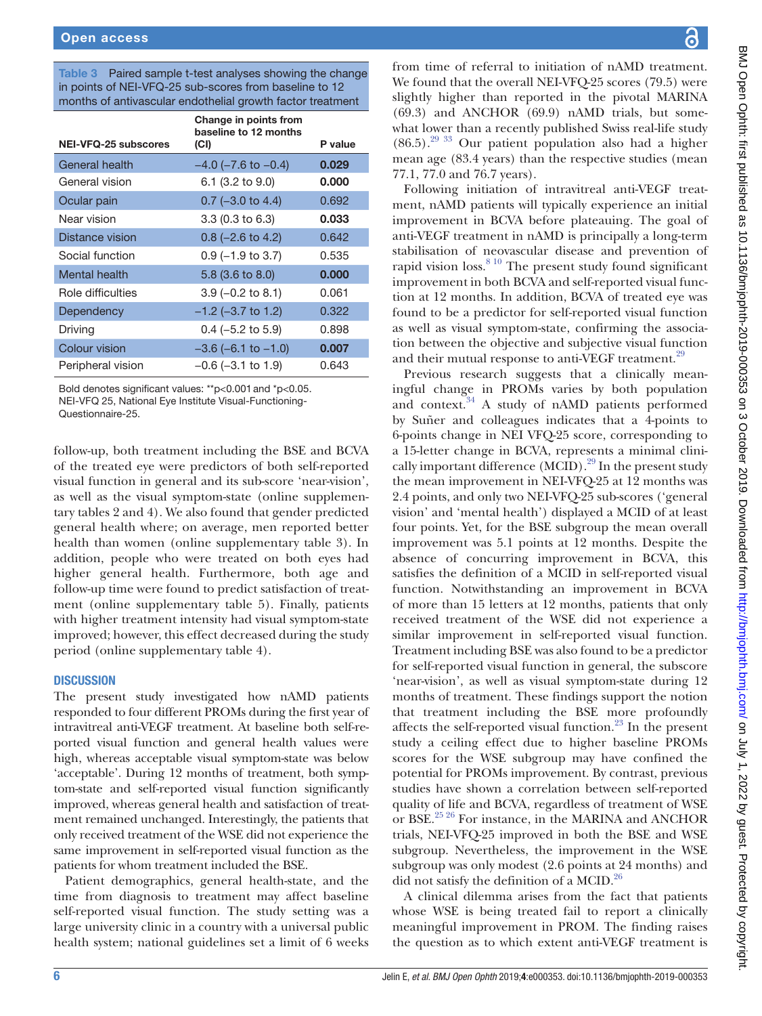<span id="page-5-0"></span>Table 3 Paired sample t-test analyses showing the change in points of NEI-VFQ-25 sub-scores from baseline to 12 months of antivascular endothelial growth factor treatment

|                        | Change in points from<br>baseline to 12 months |         |
|------------------------|------------------------------------------------|---------|
| NEI-VFQ-25 subscores   | (CI)                                           | P value |
| General health         | $-4.0$ ( $-7.6$ to $-0.4$ )                    | 0,029   |
| General vision         | 6.1 (3.2 to 9.0)                               | 0.000   |
| Ocular pain            | $0.7$ (-3.0 to 4.4)                            | 0.692   |
| Near vision            | $3.3(0.3)$ to $6.3$ )                          | 0.033   |
| <b>Distance vision</b> | $0.8$ (-2.6 to 4.2)                            | 0.642   |
| Social function        | $0.9$ (-1.9 to 3.7)                            | 0.535   |
| Mental health          | 5.8 (3.6 to 8.0)                               | 0.000   |
| Role difficulties      | $3.9$ (-0.2 to 8.1)                            | 0.061   |
| Dependency             | $-1.2$ (-3.7 to 1.2)                           | 0.322   |
| Driving                | $0.4$ (-5.2 to 5.9)                            | 0.898   |
| Colour vision          | $-3.6$ (-6.1 to $-1.0$ )                       | 0.007   |
| Peripheral vision      | $-0.6$ ( $-3.1$ to 1.9)                        | 0.643   |

Bold denotes significant values: \*\*p<0.001and \*p<0.05. NEI-VFQ 25, National Eye Institute Visual-Functioning-

Questionnaire-25.

follow-up, both treatment including the BSE and BCVA of the treated eye were predictors of both self-reported visual function in general and its sub-score 'near-vision', as well as the visual symptom-state [\(online supplemen](https://dx.doi.org/10.1136/bmjophth-2019-000353)[tary tables 2 and 4](https://dx.doi.org/10.1136/bmjophth-2019-000353)). We also found that gender predicted general health where; on average, men reported better health than women [\(online supplementary table 3](https://dx.doi.org/10.1136/bmjophth-2019-000353)). In addition, people who were treated on both eyes had higher general health. Furthermore, both age and follow-up time were found to predict satisfaction of treatment ([online supplementary table 5](https://dx.doi.org/10.1136/bmjophth-2019-000353)). Finally, patients with higher treatment intensity had visual symptom-state improved; however, this effect decreased during the study period [\(online supplementary table 4](https://dx.doi.org/10.1136/bmjophth-2019-000353)).

#### **DISCUSSION**

The present study investigated how nAMD patients responded to four different PROMs during the first year of intravitreal anti-VEGF treatment. At baseline both self-reported visual function and general health values were high, whereas acceptable visual symptom-state was below 'acceptable'. During 12 months of treatment, both symptom-state and self-reported visual function significantly improved, whereas general health and satisfaction of treatment remained unchanged. Interestingly, the patients that only received treatment of the WSE did not experience the same improvement in self-reported visual function as the patients for whom treatment included the BSE.

Patient demographics, general health-state, and the time from diagnosis to treatment may affect baseline self-reported visual function. The study setting was a large university clinic in a country with a universal public health system; national guidelines set a limit of 6 weeks

from time of referral to initiation of nAMD treatment. We found that the overall NEI-VFQ-25 scores (79.5) were slightly higher than reported in the pivotal MARINA (69.3) and ANCHOR (69.9) nAMD trials, but somewhat lower than a recently published Swiss real-life study  $(86.5)$ .<sup>29 33</sup> Our patient population also had a higher mean age (83.4 years) than the respective studies (mean 77.1, 77.0 and 76.7 years).

Following initiation of intravitreal anti-VEGF treatment, nAMD patients will typically experience an initial improvement in BCVA before plateauing. The goal of anti-VEGF treatment in nAMD is principally a long-term stabilisation of neovascular disease and prevention of rapid vision  $loss<sup>8 10</sup>$  $loss<sup>8 10</sup>$  $loss<sup>8 10</sup>$  The present study found significant improvement in both BCVA and self-reported visual function at 12 months. In addition, BCVA of treated eye was found to be a predictor for self-reported visual function as well as visual symptom-state, confirming the association between the objective and subjective visual function and their mutual response to anti-VEGF treatment.<sup>[29](#page-7-6)</sup>

Previous research suggests that a clinically meaningful change in PROMs varies by both population and context[.34](#page-7-10) A study of nAMD patients performed by Suñer and colleagues indicates that a 4-points to 6-points change in NEI VFQ-25 score, corresponding to a 15-letter change in BCVA, represents a minimal clinically important difference  $(MCID).^{29}$  In the present study the mean improvement in NEI-VFQ-25 at 12 months was 2.4 points, and only two NEI-VFQ-25 sub-scores ('general vision' and 'mental health') displayed a MCID of at least four points. Yet, for the BSE subgroup the mean overall improvement was 5.1 points at 12 months. Despite the absence of concurring improvement in BCVA, this satisfies the definition of a MCID in self-reported visual function. Notwithstanding an improvement in BCVA of more than 15 letters at 12 months, patients that only received treatment of the WSE did not experience a similar improvement in self-reported visual function. Treatment including BSE was also found to be a predictor for self-reported visual function in general, the subscore 'near-vision', as well as visual symptom-state during 12 months of treatment. These findings support the notion that treatment including the BSE more profoundly affects the self-reported visual function. $^{23}$  $^{23}$  $^{23}$  In the present study a ceiling effect due to higher baseline PROMs scores for the WSE subgroup may have confined the potential for PROMs improvement. By contrast, previous studies have shown a correlation between self-reported quality of life and BCVA, regardless of treatment of WSE or BSE.<sup>25 26</sup> For instance, in the MARINA and ANCHOR trials, NEI-VFQ-25 improved in both the BSE and WSE subgroup. Nevertheless, the improvement in the WSE subgroup was only modest (2.6 points at 24 months) and did not satisfy the definition of a MCID. $^{26}$  $^{26}$  $^{26}$ 

A clinical dilemma arises from the fact that patients whose WSE is being treated fail to report a clinically meaningful improvement in PROM. The finding raises the question as to which extent anti-VEGF treatment is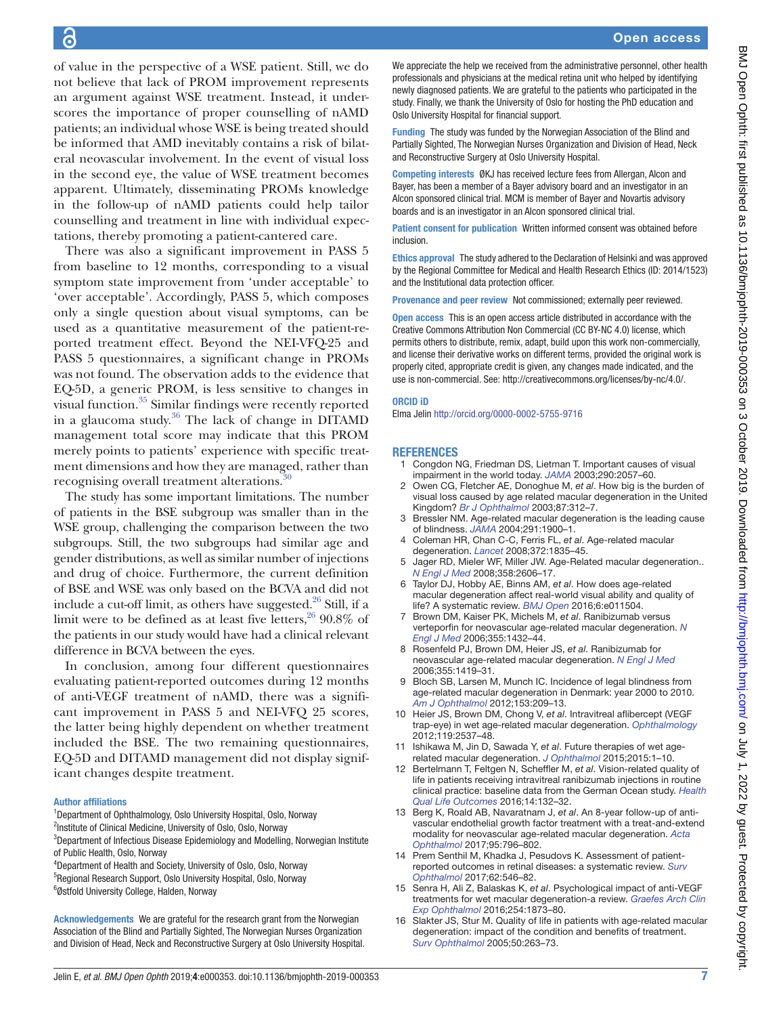of value in the perspective of a WSE patient. Still, we do not believe that lack of PROM improvement represents an argument against WSE treatment. Instead, it underscores the importance of proper counselling of nAMD patients; an individual whose WSE is being treated should be informed that AMD inevitably contains a risk of bilateral neovascular involvement. In the event of visual loss in the second eye, the value of WSE treatment becomes apparent. Ultimately, disseminating PROMs knowledge in the follow-up of nAMD patients could help tailor counselling and treatment in line with individual expectations, thereby promoting a patient-cantered care.

There was also a significant improvement in PASS 5 from baseline to 12 months, corresponding to a visual symptom state improvement from 'under acceptable' to 'over acceptable'. Accordingly, PASS 5, which composes only a single question about visual symptoms, can be used as a quantitative measurement of the patient-reported treatment effect. Beyond the NEI-VFQ-25 and PASS 5 questionnaires, a significant change in PROMs was not found. The observation adds to the evidence that EQ-5D, a generic PROM, is less sensitive to changes in visual function[.35](#page-7-11) Similar findings were recently reported in a glaucoma study. $36$  The lack of change in DITAMD management total score may indicate that this PROM merely points to patients' experience with specific treatment dimensions and how they are managed, rather than recognising overall treatment alterations.<sup>3</sup>

The study has some important limitations. The number of patients in the BSE subgroup was smaller than in the WSE group, challenging the comparison between the two subgroups. Still, the two subgroups had similar age and gender distributions, as well as similar number of injections and drug of choice. Furthermore, the current definition of BSE and WSE was only based on the BCVA and did not include a cut-off limit, as others have suggested. $^{26}$  Still, if a limit were to be defined as at least five letters,  $2690.8\%$  of the patients in our study would have had a clinical relevant difference in BCVA between the eyes.

In conclusion, among four different questionnaires evaluating patient-reported outcomes during 12 months of anti-VEGF treatment of nAMD, there was a significant improvement in PASS 5 and NEI-VFQ 25 scores, the latter being highly dependent on whether treatment included the BSE. The two remaining questionnaires, EQ-5D and DITAMD management did not display significant changes despite treatment.

#### Author affiliations

<sup>1</sup>Department of Ophthalmology, Oslo University Hospital, Oslo, Norway <sup>2</sup>Institute of Clinical Medicine, University of Oslo, Oslo, Norway

<sup>3</sup>Department of Infectious Disease Epidemiology and Modelling, Norwegian Institute of Public Health, Oslo, Norway

4 Department of Health and Society, University of Oslo, Oslo, Norway 5 Regional Research Support, Oslo University Hospital, Oslo, Norway 6 Østfold University College, Halden, Norway

Acknowledgements We are grateful for the research grant from the Norwegian Association of the Blind and Partially Sighted, The Norwegian Nurses Organization and Division of Head, Neck and Reconstructive Surgery at Oslo University Hospital. We appreciate the help we received from the administrative personnel, other health professionals and physicians at the medical retina unit who helped by identifying newly diagnosed patients. We are grateful to the patients who participated in the study. Finally, we thank the University of Oslo for hosting the PhD education and Oslo University Hospital for financial support.

Funding The study was funded by the Norwegian Association of the Blind and Partially Sighted, The Norwegian Nurses Organization and Division of Head, Neck and Reconstructive Surgery at Oslo University Hospital.

Competing interests ØKJ has received lecture fees from Allergan, Alcon and Bayer, has been a member of a Bayer advisory board and an investigator in an Alcon sponsored clinical trial. MCM is member of Bayer and Novartis advisory boards and is an investigator in an Alcon sponsored clinical trial.

Patient consent for publication Written informed consent was obtained before inclusion.

Ethics approval The study adhered to the Declaration of Helsinki and was approved by the Regional Committee for Medical and Health Research Ethics (ID: 2014/1523) and the Institutional data protection officer.

Provenance and peer review Not commissioned; externally peer reviewed.

Open access This is an open access article distributed in accordance with the Creative Commons Attribution Non Commercial (CC BY-NC 4.0) license, which permits others to distribute, remix, adapt, build upon this work non-commercially, and license their derivative works on different terms, provided the original work is properly cited, appropriate credit is given, any changes made indicated, and the use is non-commercial. See:<http://creativecommons.org/licenses/by-nc/4.0/>.

#### ORCID iD

Elma Jelin<http://orcid.org/0000-0002-5755-9716>

#### **REFERENCES**

- <span id="page-6-0"></span>1 Congdon NG, Friedman DS, Lietman T. Important causes of visual impairment in the world today. *[JAMA](http://dx.doi.org/10.1001/jama.290.15.2057)* 2003;290:2057–60.
- 2 Owen CG, Fletcher AE, Donoghue M, *et al*. How big is the burden of visual loss caused by age related macular degeneration in the United Kingdom? *[Br J Ophthalmol](http://dx.doi.org/10.1136/bjo.87.3.312)* 2003;87:312–7.
- 3 Bressler NM. Age-related macular degeneration is the leading cause of blindness. *[JAMA](http://dx.doi.org/10.1001/jama.291.15.1900)* 2004;291:1900–1.
- 4 Coleman HR, Chan C-C, Ferris FL, *et al*. Age-related macular degeneration. *[Lancet](http://dx.doi.org/10.1016/S0140-6736(08)61759-6)* 2008;372:1835–45.
- <span id="page-6-1"></span>Jager RD, Mieler WF, Miller JW. Age-Related macular degeneration.. *[N Engl J Med](http://dx.doi.org/10.1056/NEJMra0801537)* 2008;358:2606–17.
- <span id="page-6-5"></span>6 Taylor DJ, Hobby AE, Binns AM, *et al*. How does age-related macular degeneration affect real-world visual ability and quality of life? A systematic review. *[BMJ Open](http://dx.doi.org/10.1136/bmjopen-2016-011504)* 2016;6:e011504.
- <span id="page-6-2"></span>7 Brown DM, Kaiser PK, Michels M, *et al*. Ranibizumab versus verteporfin for neovascular age-related macular degeneration. *[N](http://dx.doi.org/10.1056/NEJMoa062655)  [Engl J Med](http://dx.doi.org/10.1056/NEJMoa062655)* 2006;355:1432–44.
- <span id="page-6-7"></span>8 Rosenfeld PJ, Brown DM, Heier JS, *et al*. Ranibizumab for neovascular age-related macular degeneration. *[N Engl J Med](http://dx.doi.org/10.1056/NEJMoa054481)* 2006;355:1419–31.
- 9 Bloch SB, Larsen M, Munch IC. Incidence of legal blindness from age-related macular degeneration in Denmark: year 2000 to 2010. *[Am J Ophthalmol](http://dx.doi.org/10.1016/j.ajo.2011.10.016)* 2012;153:209–13.
- 10 Heier JS, Brown DM, Chong V, *et al*. Intravitreal aflibercept (VEGF trap-eye) in wet age-related macular degeneration. *[Ophthalmology](http://dx.doi.org/10.1016/j.ophtha.2012.09.006)* 2012;119:2537–48.
- <span id="page-6-3"></span>11 Ishikawa M, Jin D, Sawada Y, *et al*. Future therapies of wet agerelated macular degeneration. *[J Ophthalmol](http://dx.doi.org/10.1155/2015/138070)* 2015;2015:1–10.
- 12 Bertelmann T, Feltgen N, Scheffler M, *et al*. Vision-related quality of life in patients receiving intravitreal ranibizumab injections in routine clinical practice: baseline data from the German Ocean study. *[Health](http://dx.doi.org/10.1186/s12955-016-0536-1)  [Qual Life Outcomes](http://dx.doi.org/10.1186/s12955-016-0536-1)* 2016;14:132–32.
- 13 Berg K, Roald AB, Navaratnam J, *et al*. An 8-year follow-up of antivascular endothelial growth factor treatment with a treat-and-extend modality for neovascular age-related macular degeneration. *[Acta](http://dx.doi.org/10.1111/aos.13522)  [Ophthalmol](http://dx.doi.org/10.1111/aos.13522)* 2017;95:796–802.
- <span id="page-6-4"></span>14 Prem Senthil M, Khadka J, Pesudovs K. Assessment of patientreported outcomes in retinal diseases: a systematic review. *[Surv](http://dx.doi.org/10.1016/j.survophthal.2016.12.011)  [Ophthalmol](http://dx.doi.org/10.1016/j.survophthal.2016.12.011)* 2017;62:546–82.
- 15 Senra H, Ali Z, Balaskas K, *et al*. Psychological impact of anti-VEGF treatments for wet macular degeneration-a review. *[Graefes Arch Clin](http://dx.doi.org/10.1007/s00417-016-3384-0)  [Exp Ophthalmol](http://dx.doi.org/10.1007/s00417-016-3384-0)* 2016;254:1873–80.
- <span id="page-6-6"></span>16 Slakter JS, Stur M. Quality of life in patients with age-related macular degeneration: impact of the condition and benefits of treatment. *[Surv Ophthalmol](http://dx.doi.org/10.1016/j.survophthal.2005.02.007)* 2005;50:263–73.